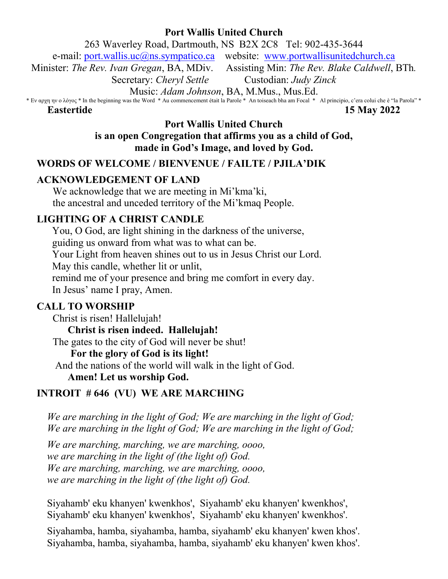# **Port Wallis United Church**

263 Waverley Road, Dartmouth, NS B2X 2C8 Tel: 902-435-3644

e-mail: [port.wallis.uc@ns.sympatico.ca](mailto:port.wallis.uc@ns.sympatico.ca) website: [www.portwallisunitedchurch.ca](http://www.portwallisunitedchurch.ca/)

Minister: *The Rev. Ivan Gregan*, BA, MDiv. Assisting Min: *The Rev. Blake Caldwell*, BTh*.*

Secretary: *Cheryl Settle* Custodian: *Judy Zinck*

Music: *Adam Johnson*, BA, M.Mus., Mus.Ed.

\* Εν αρχη ην ο λόγος \* In the beginning was the Word \* Au commencement était la Parole \* An toiseach bha am Focal \* Al principio, c'era colui che è "la Parola" \*

#### **Eastertide 15 May 2022**

**Port Wallis United Church is an open Congregation that affirms you as a child of God, made in God's Image, and loved by God.**

# **WORDS OF WELCOME / BIENVENUE / FAILTE / PJILA'DIK**

# **ACKNOWLEDGEMENT OF LAND**

We acknowledge that we are meeting in Mi'kma'ki, the ancestral and unceded territory of the Mi'kmaq People.

## **LIGHTING OF A CHRIST CANDLE**

You, O God, are light shining in the darkness of the universe, guiding us onward from what was to what can be. Your Light from heaven shines out to us in Jesus Christ our Lord. May this candle, whether lit or unlit, remind me of your presence and bring me comfort in every day. In Jesus' name I pray, Amen.

# **CALL TO WORSHIP**

Christ is risen! Hallelujah!

**Christ is risen indeed. Hallelujah!**

The gates to the city of God will never be shut!

## **For the glory of God is its light!**

And the nations of the world will walk in the light of God.

## **Amen! Let us worship God.**

# **INTROIT # 646 (VU) WE ARE MARCHING**

*We are marching in the light of God; We are marching in the light of God; We are marching in the light of God; We are marching in the light of God;*

*We are marching, marching, we are marching, oooo, we are marching in the light of (the light of) God. We are marching, marching, we are marching, oooo, we are marching in the light of (the light of) God.*

Siyahamb' eku khanyen' kwenkhos', Siyahamb' eku khanyen' kwenkhos', Siyahamb' eku khanyen' kwenkhos', Siyahamb' eku khanyen' kwenkhos'.

Siyahamba, hamba, siyahamba, hamba, siyahamb' eku khanyen' kwen khos'. Siyahamba, hamba, siyahamba, hamba, siyahamb' eku khanyen' kwen khos'.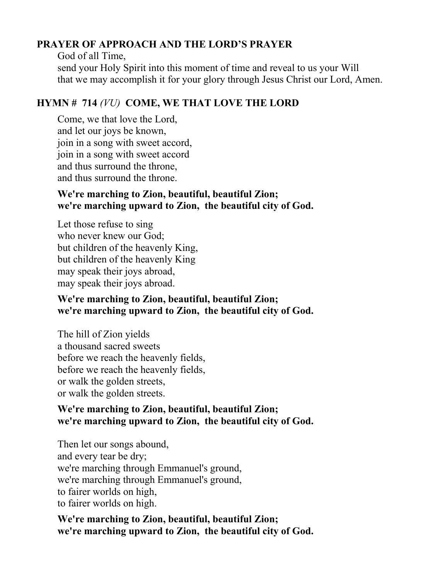# **PRAYER OF APPROACH AND THE LORD'S PRAYER**

God of all Time, send your Holy Spirit into this moment of time and reveal to us your Will that we may accomplish it for your glory through Jesus Christ our Lord, Amen.

# **HYMN # 714** *(VU)* **COME, WE THAT LOVE THE LORD**

Come, we that love the Lord, and let our joys be known, join in a song with sweet accord, join in a song with sweet accord and thus surround the throne, and thus surround the throne.

# **We're marching to Zion, beautiful, beautiful Zion; we're marching upward to Zion, the beautiful city of God.**

Let those refuse to sing who never knew our God; but children of the heavenly King, but children of the heavenly King may speak their joys abroad, may speak their joys abroad.

# **We're marching to Zion, beautiful, beautiful Zion; we're marching upward to Zion, the beautiful city of God.**

The hill of Zion yields a thousand sacred sweets before we reach the heavenly fields, before we reach the heavenly fields, or walk the golden streets, or walk the golden streets.

# **We're marching to Zion, beautiful, beautiful Zion; we're marching upward to Zion, the beautiful city of God.**

Then let our songs abound, and every tear be dry; we're marching through Emmanuel's ground, we're marching through Emmanuel's ground, to fairer worlds on high, to fairer worlds on high.

**We're marching to Zion, beautiful, beautiful Zion; we're marching upward to Zion, the beautiful city of God.**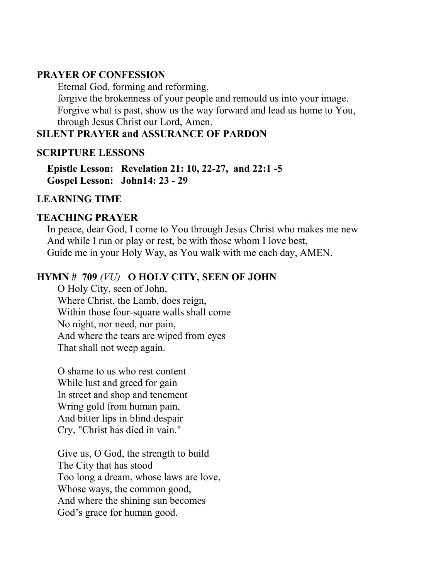## **PRAYER OF CONFESSION**

Eternal God, forming and reforming, forgive the brokenness of your people and remould us into your image. Forgive what is past, show us the way forward and lead us home to You, through Jesus Christ our Lord, Amen.

# **SILENT PRAYER and ASSURANCE OF PARDON**

## **SCRIPTURE LESSONS**

**Epistle Lesson: Revelation 21: 10, 22-27, and 22:1 -5 Gospel Lesson: John14: 23 - 29**

## **LEARNING TIME**

## **TEACHING PRAYER**

In peace, dear God, I come to You through Jesus Christ who makes me new And while I run or play or rest, be with those whom I love best, Guide me in your Holy Way, as You walk with me each day, AMEN.

# **HYMN # 709** *(VU)* **O HOLY CITY, SEEN OF JOHN**

O Holy City, seen of John, Where Christ, the Lamb, does reign, Within those four-square walls shall come No night, nor need, nor pain, And where the tears are wiped from eyes That shall not weep again.

O shame to us who rest content While lust and greed for gain In street and shop and tenement Wring gold from human pain, And bitter lips in blind despair Cry, "Christ has died in vain."

Give us, O God, the strength to build The City that has stood Too long a dream, whose laws are love, Whose ways, the common good, And where the shining sun becomes God's grace for human good.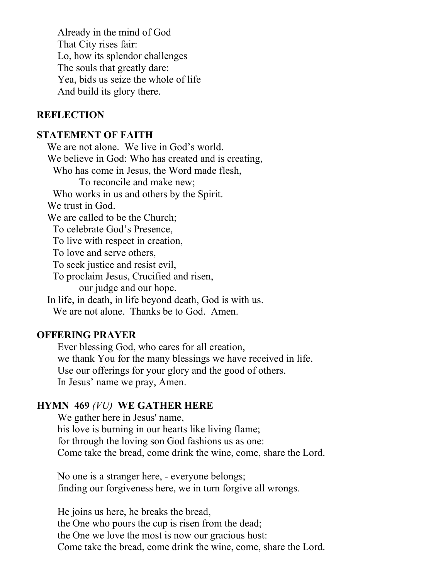Already in the mind of God That City rises fair: Lo, how its splendor challenges The souls that greatly dare: Yea, bids us seize the whole of life And build its glory there.

#### **REFLECTION**

## **STATEMENT OF FAITH**

We are not alone. We live in God's world. We believe in God: Who has created and is creating, Who has come in Jesus, the Word made flesh, To reconcile and make new; Who works in us and others by the Spirit. We trust in God. We are called to be the Church; To celebrate God's Presence, To live with respect in creation, To love and serve others, To seek justice and resist evil, To proclaim Jesus, Crucified and risen, our judge and our hope. In life, in death, in life beyond death, God is with us. We are not alone. Thanks be to God. Amen.

## **OFFERING PRAYER**

Ever blessing God, who cares for all creation, we thank You for the many blessings we have received in life. Use our offerings for your glory and the good of others. In Jesus' name we pray, Amen.

#### **HYMN 469** *(VU)* **WE GATHER HERE**

We gather here in Jesus' name, his love is burning in our hearts like living flame; for through the loving son God fashions us as one: Come take the bread, come drink the wine, come, share the Lord.

No one is a stranger here, - everyone belongs; finding our forgiveness here, we in turn forgive all wrongs.

He joins us here, he breaks the bread, the One who pours the cup is risen from the dead; the One we love the most is now our gracious host: Come take the bread, come drink the wine, come, share the Lord.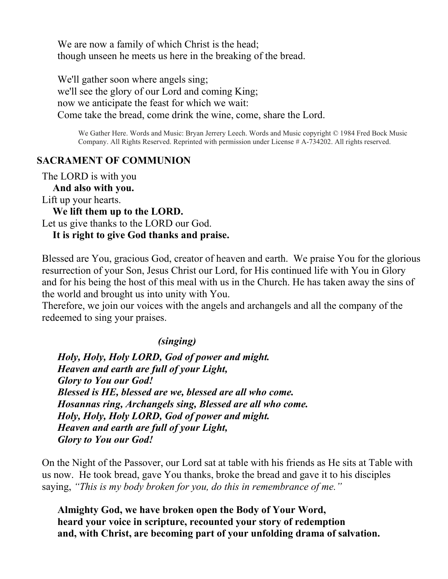We are now a family of which Christ is the head; though unseen he meets us here in the breaking of the bread.

We'll gather soon where angels sing; we'll see the glory of our Lord and coming King; now we anticipate the feast for which we wait: Come take the bread, come drink the wine, come, share the Lord.

We Gather Here. Words and Music: Bryan Jerrery Leech. Words and Music copyright © 1984 Fred Bock Music Company. All Rights Reserved. Reprinted with permission under License # A-734202. All rights reserved.

## **SACRAMENT OF COMMUNION**

The LORD is with you

**And also with you.**

Lift up your hearts.

**We lift them up to the LORD.**

Let us give thanks to the LORD our God.

#### **It is right to give God thanks and praise.**

Blessed are You, gracious God, creator of heaven and earth. We praise You for the glorious resurrection of your Son, Jesus Christ our Lord, for His continued life with You in Glory and for his being the host of this meal with us in the Church. He has taken away the sins of the world and brought us into unity with You.

Therefore, we join our voices with the angels and archangels and all the company of the redeemed to sing your praises.

#### *(singing)*

*Holy, Holy, Holy LORD, God of power and might. Heaven and earth are full of your Light, Glory to You our God! Blessed is HE, blessed are we, blessed are all who come. Hosannas ring, Archangels sing, Blessed are all who come. Holy, Holy, Holy LORD, God of power and might. Heaven and earth are full of your Light, Glory to You our God!*

On the Night of the Passover, our Lord sat at table with his friends as He sits at Table with us now. He took bread, gave You thanks, broke the bread and gave it to his disciples saying, *"This is my body broken for you, do this in remembrance of me."*

**Almighty God, we have broken open the Body of Your Word, heard your voice in scripture, recounted your story of redemption and, with Christ, are becoming part of your unfolding drama of salvation.**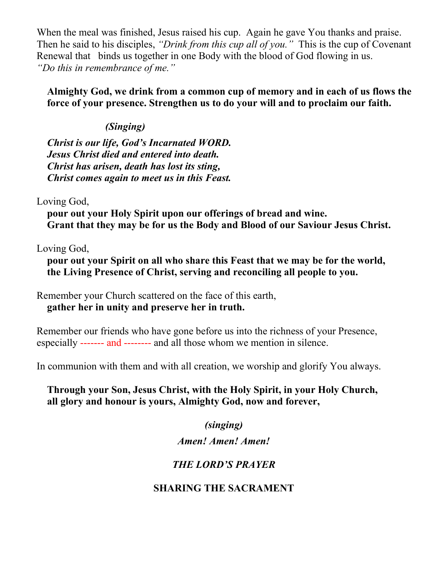When the meal was finished, Jesus raised his cup. Again he gave You thanks and praise. Then he said to his disciples, *"Drink from this cup all of you."* This is the cup of Covenant Renewal that binds us together in one Body with the blood of God flowing in us. *"Do this in remembrance of me."* 

**Almighty God, we drink from a common cup of memory and in each of us flows the force of your presence. Strengthen us to do your will and to proclaim our faith.**

# *(Singing)*

*Christ is our life, God's Incarnated WORD. Jesus Christ died and entered into death. Christ has arisen, death has lost its sting, Christ comes again to meet us in this Feast.*

Loving God,

**pour out your Holy Spirit upon our offerings of bread and wine. Grant that they may be for us the Body and Blood of our Saviour Jesus Christ.**

Loving God,

**pour out your Spirit on all who share this Feast that we may be for the world, the Living Presence of Christ, serving and reconciling all people to you.**

Remember your Church scattered on the face of this earth, **gather her in unity and preserve her in truth.** 

Remember our friends who have gone before us into the richness of your Presence, especially ------- and -------- and all those whom we mention in silence.

In communion with them and with all creation, we worship and glorify You always.

# **Through your Son, Jesus Christ, with the Holy Spirit, in your Holy Church, all glory and honour is yours, Almighty God, now and forever,**

*(singing)*

# *Amen! Amen! Amen!*

# *THE LORD'S PRAYER*

# **SHARING THE SACRAMENT**